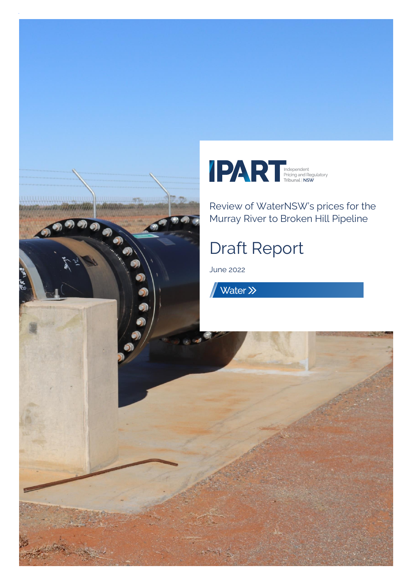

Review of WaterNSW's prices for the Murray River to Broken Hill Pipeline

# Draft Report

June 2022

Water >>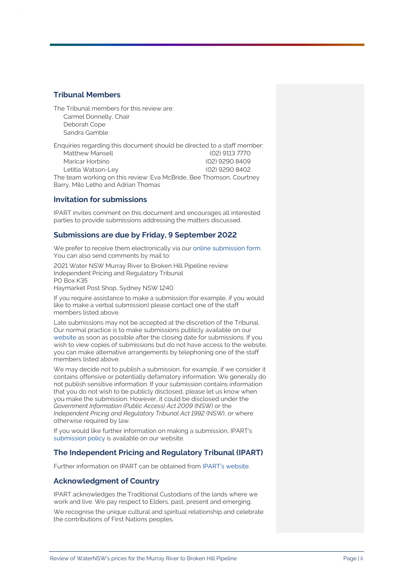#### **Tribunal Members**

The Tribunal members for this review are: Carmel Donnelly, Chair Deborah Cope Sandra Gamble

Enquiries regarding this document should be directed to a staff member: Matthew Mansell (02) 9113 7770 Maricar Horbino (02) 9290 8409 Letitia Watson-Ley (02) 9290 8402 The team working on this review: Eva McBride, Bee Thomson, Courtney Barry, Milo Letho and Adrian Thomas

#### **Invitation for submissions**

IPART invites comment on this document and encourages all interested parties to provide submissions addressing the matters discussed.

#### **Submissions are due by Friday, 9 September 2022**

We prefer to receive them electronically via ou[r online submission form.](https://www.ipart.nsw.gov.au/Home/Reviews/Have-Your-Say-Open-Consultations?review_status=911) You can also send comments by mail to:

2021 Water NSW Murray River to Broken Hill Pipeline review Independent Pricing and Regulatory Tribunal PO Box K35 Haymarket Post Shop, Sydney NSW 1240

If you require assistance to make a submission (for example, if you would like to make a verbal submission) please contact one of the staff

members listed above.

Late submissions may not be accepted at the discretion of the Tribunal. Our normal practice is to make submissions publicly available on our [website](http://www.ipart.nsw.gov.au/) as soon as possible after the closing date for submissions. If you wish to view copies of submissions but do not have access to the website, you can make alternative arrangements by telephoning one of the staff members listed above.

We may decide not to publish a submission, for example, if we consider it contains offensive or potentially defamatory information. We generally do not publish sensitive information. If your submission contains information that you do not wish to be publicly disclosed, please let us know when you make the submission. However, it could be disclosed under the *Government Information (Public Access) Act 2009* (NSW) or the *Independent Pricing and Regulatory Tribunal Act 1992* (NSW), or where otherwise required by law.

If you would like further information on making a submission, IPART's [submission policy](https://www.ipart.nsw.gov.au/submissions-policy) is available on our website.

#### **The Independent Pricing and Regulatory Tribunal (IPART)**

Further information on IPART can be obtained from [IPART's website.](https://www.ipart.nsw.gov.au/Home)

#### **Acknowledgment of Country**

IPART acknowledges the Traditional Custodians of the lands where we work and live. We pay respect to Elders, past, present and emerging.

We recognise the unique cultural and spiritual relationship and celebrate the contributions of First Nations peoples.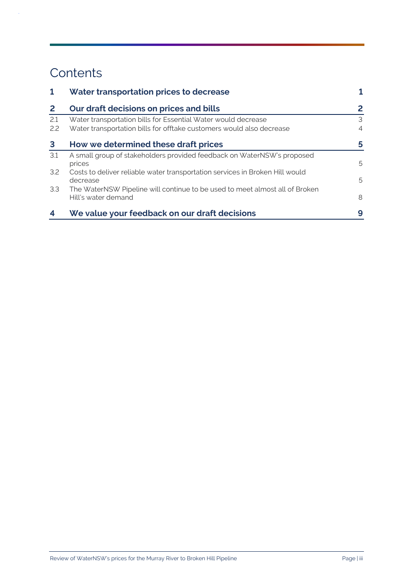## **Contents**

 $\bar{\psi}$ 

| $\mathbf{1}$   | Water transportation prices to decrease                                                            |                |  |  |  |
|----------------|----------------------------------------------------------------------------------------------------|----------------|--|--|--|
| $\overline{2}$ | Our draft decisions on prices and bills                                                            |                |  |  |  |
| 2.1            | Water transportation bills for Essential Water would decrease                                      | 3              |  |  |  |
| 2.2            | Water transportation bills for offtake customers would also decrease                               | $\overline{4}$ |  |  |  |
| 3              | How we determined these draft prices                                                               | 5              |  |  |  |
| 3.1            | A small group of stakeholders provided feedback on WaterNSW's proposed<br>prices                   | 5              |  |  |  |
| 3.2            | Costs to deliver reliable water transportation services in Broken Hill would<br>decrease           | 5              |  |  |  |
| 3.3            | The WaterNSW Pipeline will continue to be used to meet almost all of Broken<br>Hill's water demand | 8              |  |  |  |
| 4              | We value your feedback on our draft decisions                                                      | 9              |  |  |  |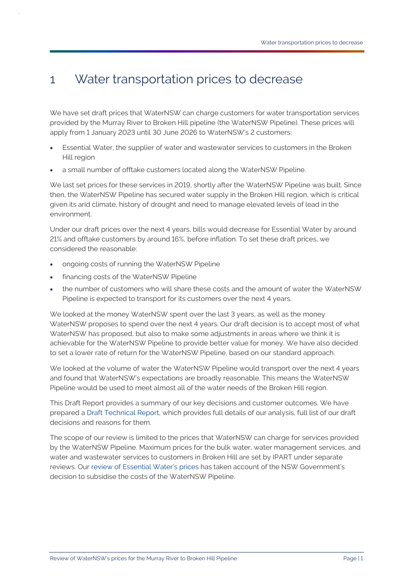## <span id="page-3-0"></span>1 Water transportation prices to decrease

We have set draft prices that WaterNSW can charge customers for water transportation services provided by the Murray River to Broken Hill pipeline (the WaterNSW Pipeline). These prices will apply from 1 January 2023 until 30 June 2026 to WaterNSW's 2 customers:

- Essential Water, the supplier of water and wastewater services to customers in the Broken Hill region
- a small number of offtake customers located along the WaterNSW Pipeline.

We last set prices for these services in 2019, shortly after the WaterNSW Pipeline was built. Since then, the WaterNSW Pipeline has secured water supply in the Broken Hill region, which is critical given its arid climate, history of drought and need to manage elevated levels of lead in the environment.

Under our draft prices over the next 4 years, bills would decrease for Essential Water by around 21% and offtake customers by around 16%, before inflation. To set these draft prices, we considered the reasonable:

- ongoing costs of running the WaterNSW Pipeline
- financing costs of the WaterNSW Pipeline
- the number of customers who will share these costs and the amount of water the WaterNSW Pipeline is expected to transport for its customers over the next 4 years.

We looked at the money WaterNSW spent over the last 3 years, as well as the money WaterNSW proposes to spend over the next 4 years. Our draft decision is to accept most of what WaterNSW has proposed, but also to make some adjustments in areas where we think it is achievable for the WaterNSW Pipeline to provide better value for money. We have also decided to set a lower rate of return for the WaterNSW Pipeline, based on our standard approach.

We looked at the volume of water the WaterNSW Pipeline would transport over the next 4 years and found that WaterNSW's expectations are broadly reasonable. This means the WaterNSW Pipeline would be used to meet almost all of the water needs of the Broken Hill region.

This Draft Report provides a summary of our key decisions and customer outcomes. We have prepared a [Draft Technical Report,](https://www.ipart.nsw.gov.au/sites/default/files/cm9_documents/Draft-Technical-Paper-Review-of-WaterNSWs-prices-for-the-Murray-River-to-Broken-Hill-Pipeline-June-2022.PDF) which provides full details of our analysis, full list of our draft decisions and reasons for them.

The scope of our review is limited to the prices that WaterNSW can charge for services provided by the WaterNSW Pipeline. Maximum prices for the bulk water, water management services, and water and wastewater services to customers in Broken Hill are set by IPART under separate reviews. Ou[r review of Essential Water's prices h](https://www.ipart.nsw.gov.au/Home/Industries/Water/Reviews/Metro-Pricing/Prices-for-Essential-Energy%E2%80%99s-water-and-sewerage-services-in-Broken-Hill-from-1-July-2022)as taken account of the NSW Government's decision to subsidise the costs of the WaterNSW Pipeline.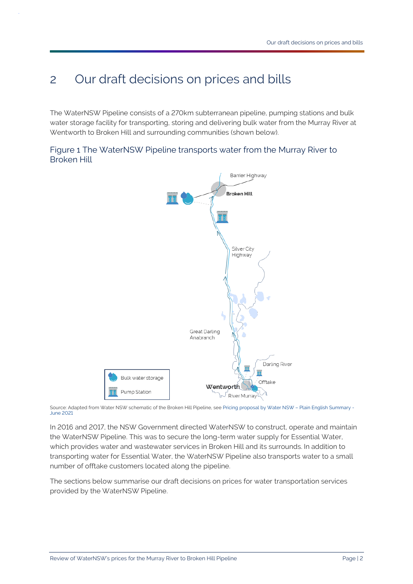## <span id="page-4-0"></span>2 Our draft decisions on prices and bills

The WaterNSW Pipeline consists of a 270km subterranean pipeline, pumping stations and bulk water storage facility for transporting, storing and delivering bulk water from the Murray River at Wentworth to Broken Hill and surrounding communities (shown below).

Figure 1 The WaterNSW Pipeline transports water from the Murray River to Broken Hill



Source: Adapted from Water NSW schematic of the Broken Hill Pipeline, se[e Pricing proposal by Water NSW –](https://www.ipart.nsw.gov.au/sites/default/files/cm9_documents/Pricing-proposal-by-Water-NSW-Plain-English-Summary-June-2021.PDF) Plain English Summary - [June 2021](https://www.ipart.nsw.gov.au/sites/default/files/cm9_documents/Pricing-proposal-by-Water-NSW-Plain-English-Summary-June-2021.PDF)

In 2016 and 2017, the NSW Government directed WaterNSW to construct, operate and maintain the WaterNSW Pipeline. This was to secure the long-term water supply for Essential Water, which provides water and wastewater services in Broken Hill and its surrounds. In addition to transporting water for Essential Water, the WaterNSW Pipeline also transports water to a small number of offtake customers located along the pipeline.

The sections below summarise our draft decisions on prices for water transportation services provided by the WaterNSW Pipeline.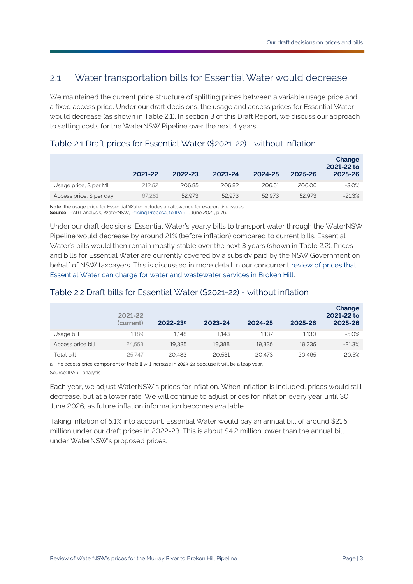### <span id="page-5-0"></span>2.1 Water transportation bills for Essential Water would decrease

We maintained the current price structure of splitting prices between a variable usage price and a fixed access price. Under our draft decisions, the usage and access prices for Essential Water would decrease (as shown in [Table 2.1\)](#page-5-1). In section [3](#page-7-0) of this Draft Report, we discuss our approach to setting costs for the WaterNSW Pipeline over the next 4 years.

#### <span id="page-5-1"></span>Table 2.1 Draft prices for Essential Water (\$2021-22) - without inflation

|                          | 2021-22 | 2022-23 | 2023-24 | 2024-25 | 2025-26 | Change<br>2021-22 to<br>2025-26 |
|--------------------------|---------|---------|---------|---------|---------|---------------------------------|
| Usage price, \$ per ML   | 212.52  | 206.85  | 206.82  | 206.61  | 206.06  | $-3.0\%$                        |
| Access price, \$ per day | 67.281  | 52.973  | 52.973  | 52.973  | 52.973  | $-21.3%$                        |

**Note:** the usage price for Essential Water includes an allowance for evaporative issues. **Source**: IPART analysis, WaterNSW, [Pricing Proposal to IPART,](https://www.ipart.nsw.gov.au/sites/default/files/cm9_documents/Pricing-proposal-by-Water-NSW-June-2021.PDF) June 2021, p 76.

Under our draft decisions, Essential Water's yearly bills to transport water through the WaterNSW Pipeline would decrease by around 21% (before inflation) compared to current bills. Essential Water's bills would then remain mostly stable over the next 3 years (shown in Table 2.2). Prices and bills for Essential Water are currently covered by a subsidy paid by the NSW Government on behalf of NSW taxpayers. This is discussed in more detail in our concurrent [review of prices that](https://www.ipart.nsw.gov.au/Home/Industries/Water/Reviews/Metro-Pricing/Prices-for-Essential-Energy%E2%80%99s-water-and-sewerage-services-in-Broken-Hill-from-1-July-2022)  [Essential Water can charge for water and wastewater services in Broken Hill.](https://www.ipart.nsw.gov.au/Home/Industries/Water/Reviews/Metro-Pricing/Prices-for-Essential-Energy%E2%80%99s-water-and-sewerage-services-in-Broken-Hill-from-1-July-2022)

|                   | 2021-22<br>(current) | 2022-23a | 2023-24 | 2024-25 | 2025-26 | Change<br>2021-22 to<br>2025-26 |
|-------------------|----------------------|----------|---------|---------|---------|---------------------------------|
| Usage bill        | 1.189                | 1.148    | 1.143   | 1.137   | 1.130   | $-5.0%$                         |
| Access price bill | 24.558               | 19.335   | 19.388  | 19.335  | 19.335  | $-21.3%$                        |
| <b>Total bill</b> | 25.747               | 20.483   | 20.531  | 20.473  | 20.465  | $-20.5%$                        |

#### Table 2.2 Draft bills for Essential Water (\$2021-22) - without inflation

a. The access price component of the bill will increase in 2023-24 because it will be a leap year. Source: IPART analysis

Each year, we adjust WaterNSW's prices for inflation. When inflation is included, prices would still decrease, but at a lower rate. We will continue to adjust prices for inflation every year until 30 June 2026, as future inflation information becomes available.

Taking inflation of 5.1% into account, Essential Water would pay an annual bill of around \$21.5 million under our draft prices in 2022-23. This is about \$4.2 million lower than the annual bill under WaterNSW's proposed prices.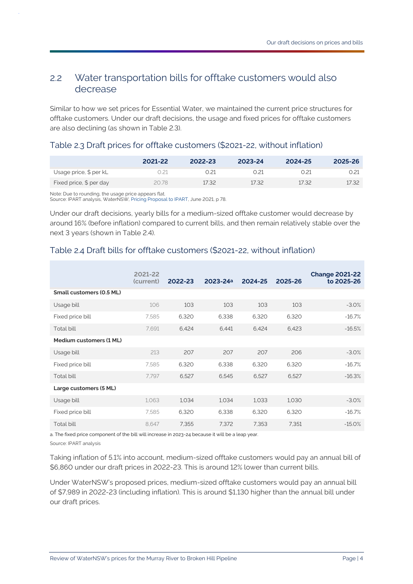### <span id="page-6-0"></span>2.2 Water transportation bills for offtake customers would also decrease

Similar to how we set prices for Essential Water, we maintained the current price structures for offtake customers. Under our draft decisions, the usage and fixed prices for offtake customers are also declining (as shown in Table 2.3).

#### Table 2.3 Draft prices for offtake customers (\$2021-22, without inflation)

|                         | 2021-22 | 2022-23 | 2023-24 | 2024-25 | 2025-26 |
|-------------------------|---------|---------|---------|---------|---------|
| Usage price, \$ per kL  |         | ว.21    | ว.21    | 0.21    | 0.21    |
| Fixed price, \$ per day | 20.78   | 17.32   | 17.32   | 17.32   | 17.32   |

Note: Due to rounding, the usage price appears flat.

Source: IPART analysis, WaterNSW, [Pricing Proposal to IPART,](https://www.ipart.nsw.gov.au/sites/default/files/cm9_documents/Pricing-proposal-by-Water-NSW-June-2021.PDF) June 2021, p 78.

Under our draft decisions, yearly bills for a medium-sized offtake customer would decrease by around 16% (before inflation) compared to current bills, and then remain relatively stable over the next 3 years (shown in Table 2.4).

|                          | 2021-22<br>(current) | 2022-23 | 2023-24a | 2024-25 | 2025-26 | <b>Change 2021-22</b><br>to 2025-26 |
|--------------------------|----------------------|---------|----------|---------|---------|-------------------------------------|
| Small customers (0.5 ML) |                      |         |          |         |         |                                     |
| Usage bill               | 106                  | 103     | 103      | 103     | 103     | $-3.0%$                             |
| Fixed price bill         | 7,585                | 6,320   | 6,338    | 6,320   | 6,320   | $-16.7%$                            |
| Total bill               | 7.691                | 6,424   | 6,441    | 6,424   | 6,423   | $-16.5%$                            |
| Medium customers (1 ML)  |                      |         |          |         |         |                                     |
| Usage bill               | 213                  | 207     | 207      | 207     | 206     | $-3.0%$                             |
| Fixed price bill         | 7.585                | 6,320   | 6,338    | 6,320   | 6,320   | $-16.7%$                            |
| <b>Total bill</b>        | 7,797                | 6,527   | 6,545    | 6,527   | 6,527   | $-16.3%$                            |
| Large customers (5 ML)   |                      |         |          |         |         |                                     |
| Usage bill               | 1.063                | 1.034   | 1,034    | 1,033   | 1.030   | $-3.0%$                             |
| Fixed price bill         | 7,585                | 6,320   | 6,338    | 6,320   | 6,320   | $-16.7%$                            |
| <b>Total bill</b>        | 8.647                | 7,355   | 7.372    | 7.353   | 7,351   | $-15.0%$                            |

#### Table 2.4 Draft bills for offtake customers (\$2021-22, without inflation)

a. The fixed price component of the bill will increase in 2023-24 because it will be a leap year.

Source: IPART analysis

Taking inflation of 5.1% into account, medium-sized offtake customers would pay an annual bill of \$6,860 under our draft prices in 2022-23. This is around 12% lower than current bills.

Under WaterNSW's proposed prices, medium-sized offtake customers would pay an annual bill of \$7,989 in 2022-23 (including inflation). This is around \$1,130 higher than the annual bill under our draft prices.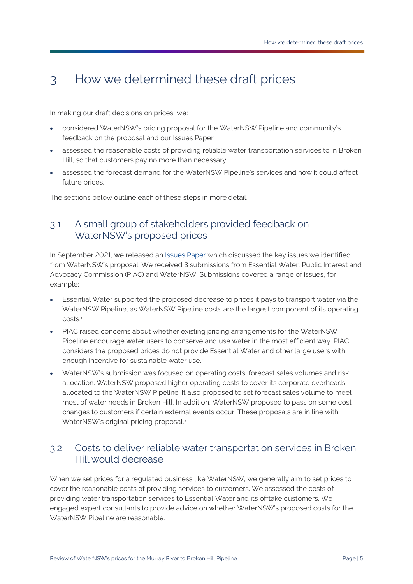## <span id="page-7-0"></span>3 How we determined these draft prices

In making our draft decisions on prices, we:

- considered WaterNSW's pricing proposal for the WaterNSW Pipeline and community's feedback on the proposal and our Issues Paper
- assessed the reasonable costs of providing reliable water transportation services to in Broken Hill, so that customers pay no more than necessary
- assessed the forecast demand for the WaterNSW Pipeline's services and how it could affect future prices.

The sections below outline each of these steps in more detail.

### <span id="page-7-1"></span>3.1 A small group of stakeholders provided feedback on WaterNSW's proposed prices

In September 2021, we released an [Issues](https://www.ipart.nsw.gov.au/documents/issues-paper/issues-paper-2021-review-water-nsws-murray-river-broken-hill-pipeline-prices-september-2021?timeline_id=13507) Paper which discussed the key issues we identified from WaterNSW's proposal. We received 3 submissions from Essential Water, Public Interest and Advocacy Commission (PIAC) and WaterNSW. Submissions covered a range of issues, for example:

- Essential Water supported the proposed decrease to prices it pays to transport water via the WaterNSW Pipeline, as WaterNSW Pipeline costs are the largest component of its operating costs.<sup>1</sup>
- PIAC raised concerns about whether existing pricing arrangements for the WaterNSW Pipeline encourage water users to conserve and use water in the most efficient way. PIAC considers the proposed prices do not provide Essential Water and other large users with enough incentive for sustainable water use.<sup>2</sup>
- WaterNSW's submission was focused on operating costs, forecast sales volumes and risk allocation. WaterNSW proposed higher operating costs to cover its corporate overheads allocated to the WaterNSW Pipeline. It also proposed to set forecast sales volume to meet most of water needs in Broken Hill. In addition, WaterNSW proposed to pass on some cost changes to customers if certain external events occur. These proposals are in line with WaterNSW's original pricing proposal.<sup>3</sup>

### <span id="page-7-2"></span>3.2 Costs to deliver reliable water transportation services in Broken Hill would decrease

When we set prices for a regulated business like WaterNSW, we generally aim to set prices to cover the reasonable costs of providing services to customers. We assessed the costs of providing water transportation services to Essential Water and its offtake customers. We engaged expert consultants to provide advice on whether WaterNSW's proposed costs for the WaterNSW Pipeline are reasonable.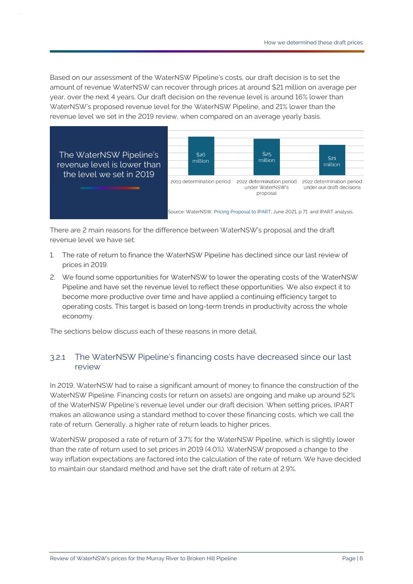Based on our assessment of the WaterNSW Pipeline's costs, our draft decision is to set the amount of revenue WaterNSW can recover through prices at around \$21 million on average per year, over the next 4 years. Our draft decision on the revenue level is around 16% lower than WaterNSW's proposed revenue level for the WaterNSW Pipeline, and 21% lower than the revenue level we set in the 2019 review, when compared on an average yearly basis.



There are 2 main reasons for the difference between WaterNSW's proposal and the draft revenue level we have set:

- 1. The rate of return to finance the WaterNSW Pipeline has declined since our last review of prices in 2019.
- 2. We found some opportunities for WaterNSW to lower the operating costs of the WaterNSW Pipeline and have set the revenue level to reflect these opportunities. We also expect it to become more productive over time and have applied a continuing efficiency target to operating costs. This target is based on long-term trends in productivity across the whole economy.

The sections below discuss each of these reasons in more detail.

#### 3.2.1 The WaterNSW Pipeline's financing costs have decreased since our last review

In 2019, WaterNSW had to raise a significant amount of money to finance the construction of the WaterNSW Pipeline. Financing costs (or return on assets) are ongoing and make up around 52% of the WaterNSW Pipeline's revenue level under our draft decision. When setting prices, IPART makes an allowance using a standard method to cover these financing costs, which we call the rate of return. Generally, a higher rate of return leads to higher prices.

WaterNSW proposed a rate of return of 3.7% for the WaterNSW Pipeline, which is slightly lower than the rate of return used to set prices in 2019 (4.0%). WaterNSW proposed a change to the way inflation expectations are factored into the calculation of the rate of return. We have decided to maintain our standard method and have set the draft rate of return at 2.9%.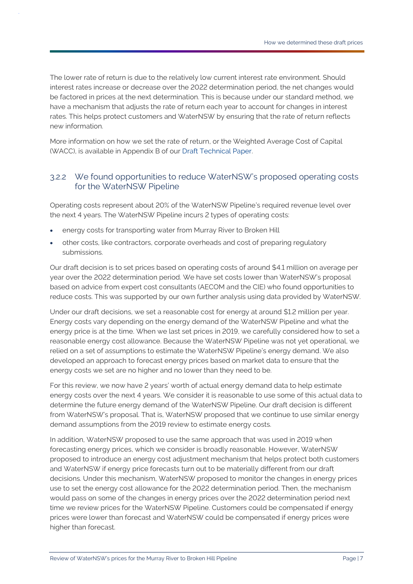The lower rate of return is due to the relatively low current interest rate environment. Should interest rates increase or decrease over the 2022 determination period, the net changes would be factored in prices at the next determination. This is because under our standard method, we have a mechanism that adjusts the rate of return each year to account for changes in interest rates. This helps protect customers and WaterNSW by ensuring that the rate of return reflects new information.

More information on how we set the rate of return, or the Weighted Average Cost of Capital (WACC), is available in Appendix B of our [Draft Technical Paper.](https://www.ipart.nsw.gov.au/Home/Industries/Water/Reviews/Rural-Water/Prices-for-Water-NSW%E2%80%99s-Murray-River-to-Broken-Hill-Pipeline-services-from-1-July-2022)

#### 3.2.2 We found opportunities to reduce WaterNSW's proposed operating costs for the WaterNSW Pipeline

Operating costs represent about 20% of the WaterNSW Pipeline's required revenue level over the next 4 years. The WaterNSW Pipeline incurs 2 types of operating costs:

- energy costs for transporting water from Murray River to Broken Hill
- other costs, like contractors, corporate overheads and cost of preparing regulatory submissions.

Our draft decision is to set prices based on operating costs of around \$4.1 million on average per year over the 2022 determination period. We have set costs lower than WaterNSW's proposal based on advice from expert cost consultants (AECOM and the CIE) who found opportunities to reduce costs. This was supported by our own further analysis using data provided by WaterNSW.

Under our draft decisions, we set a reasonable cost for energy at around \$1.2 million per year. Energy costs vary depending on the energy demand of the WaterNSW Pipeline and what the energy price is at the time. When we last set prices in 2019, we carefully considered how to set a reasonable energy cost allowance. Because the WaterNSW Pipeline was not yet operational, we relied on a set of assumptions to estimate the WaterNSW Pipeline's energy demand. We also developed an approach to forecast energy prices based on market data to ensure that the energy costs we set are no higher and no lower than they need to be.

For this review, we now have 2 years' worth of actual energy demand data to help estimate energy costs over the next 4 years. We consider it is reasonable to use some of this actual data to determine the future energy demand of the WaterNSW Pipeline. Our draft decision is different from WaterNSW's proposal. That is, WaterNSW proposed that we continue to use similar energy demand assumptions from the 2019 review to estimate energy costs.

In addition, WaterNSW proposed to use the same approach that was used in 2019 when forecasting energy prices, which we consider is broadly reasonable. However, WaterNSW proposed to introduce an energy cost adjustment mechanism that helps protect both customers and WaterNSW if energy price forecasts turn out to be materially different from our draft decisions. Under this mechanism, WaterNSW proposed to monitor the changes in energy prices use to set the energy cost allowance for the 2022 determination period. Then, the mechanism would pass on some of the changes in energy prices over the 2022 determination period next time we review prices for the WaterNSW Pipeline. Customers could be compensated if energy prices were lower than forecast and WaterNSW could be compensated if energy prices were higher than forecast.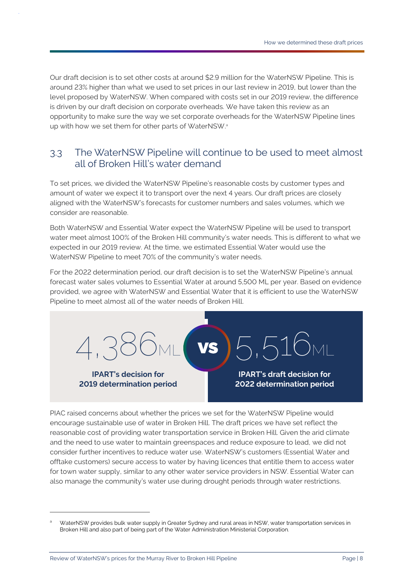Our draft decision is to set other costs at around \$2.9 million for the WaterNSW Pipeline. This is around 23% higher than what we used to set prices in our last review in 2019, but lower than the level proposed by WaterNSW. When compared with costs set in our 2019 review, the difference is driven by our draft decision on corporate overheads. We have taken this review as an opportunity to make sure the way we set corporate overheads for the WaterNSW Pipeline lines up with how we set them for other parts of WaterNSW. a

### <span id="page-10-0"></span>3.3 The WaterNSW Pipeline will continue to be used to meet almost all of Broken Hill's water demand

To set prices, we divided the WaterNSW Pipeline's reasonable costs by customer types and amount of water we expect it to transport over the next 4 years. Our draft prices are closely aligned with the WaterNSW's forecasts for customer numbers and sales volumes, which we consider are reasonable.

Both WaterNSW and Essential Water expect the WaterNSW Pipeline will be used to transport water meet almost 100% of the Broken Hill community's water needs. This is different to what we expected in our 2019 review. At the time, we estimated Essential Water would use the WaterNSW Pipeline to meet 70% of the community's water needs.

For the 2022 determination period, our draft decision is to set the WaterNSW Pipeline's annual forecast water sales volumes to Essential Water at around 5,500 ML per year. Based on evidence provided, we agree with WaterNSW and Essential Water that it is efficient to use the WaterNSW Pipeline to meet almost all of the water needs of Broken Hill.



PIAC raised concerns about whether the prices we set for the WaterNSW Pipeline would encourage sustainable use of water in Broken Hill. The draft prices we have set reflect the reasonable cost of providing water transportation service in Broken Hill. Given the arid climate and the need to use water to maintain greenspaces and reduce exposure to lead, we did not consider further incentives to reduce water use. WaterNSW's customers (Essential Water and offtake customers) secure access to water by having licences that entitle them to access water for town water supply, similar to any other water service providers in NSW. Essential Water can also manage the community's water use during drought periods through water restrictions.

WaterNSW provides bulk water supply in Greater Sydney and rural areas in NSW, water transportation services in Broken Hill and also part of being part of the Water Administration Ministerial Corporation.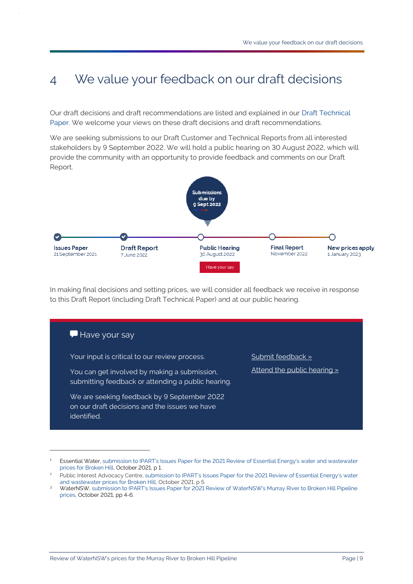## <span id="page-11-0"></span>4 We value your feedback on our draft decisions

Our draft decisions and draft recommendations are listed and explained in our [Draft Technical](https://www.ipart.nsw.gov.au/sites/default/files/cm9_documents/Draft-Technical-Paper-Review-of-WaterNSWs-prices-for-the-Murray-River-to-Broken-Hill-Pipeline-June-2022.PDF)  [Paper.](https://www.ipart.nsw.gov.au/sites/default/files/cm9_documents/Draft-Technical-Paper-Review-of-WaterNSWs-prices-for-the-Murray-River-to-Broken-Hill-Pipeline-June-2022.PDF) We welcome your views on these draft decisions and draft recommendations.

We are seeking submissions to our Draft Customer and Technical Reports from all interested stakeholders by 9 September 2022. We will hold a public hearing on 30 August 2022, which will provide the community with an opportunity to provide feedback and comments on our Draft Report.



In making final decisions and setting prices, we will consider all feedback we receive in response to this Draft Report (including Draft Technical Paper) and at our public hearing.



<sup>1</sup> Essential Water[, submission to IPART's Issues Paper for the 2021 Review of Essential Energy's water and wastewater](https://www.ipart.nsw.gov.au/sites/default/files/cm9_documents/Online-Submission-Essential-Energy-M.-Crowley-20-Oct-2021-133421280.PDF)  [prices for Broken Hill,](https://www.ipart.nsw.gov.au/sites/default/files/cm9_documents/Online-Submission-Essential-Energy-M.-Crowley-20-Oct-2021-133421280.PDF) October 2021, p 1.

<sup>2</sup> Public Interest Advocacy Centre[, submission to IPART's Issues Paper for the 2021 Review of Essential Energy's water](https://www.ipart.nsw.gov.au/sites/default/files/cm9_documents/Online-Submission-Public-Interest-Advocacy-Centre-%28PIAC%29-D.-McCloskey-22-Oct-2021-142957661.PDF)  [and wastewater prices for Broken Hill,](https://www.ipart.nsw.gov.au/sites/default/files/cm9_documents/Online-Submission-Public-Interest-Advocacy-Centre-%28PIAC%29-D.-McCloskey-22-Oct-2021-142957661.PDF) October 2021, p 5.

<sup>3</sup> WaterNSW, [submission to IPART's Issues Paper for 2021 Review of WaterNSW's Murray River to Broken Hill Pipeline](https://www.ipart.nsw.gov.au/sites/default/files/cm9_documents/Online-Submission-WaterNSW-L.-Garnier-22-Oct-2021-140820921.PDF)  [prices,](https://www.ipart.nsw.gov.au/sites/default/files/cm9_documents/Online-Submission-WaterNSW-L.-Garnier-22-Oct-2021-140820921.PDF) October 2021, pp 4-6.